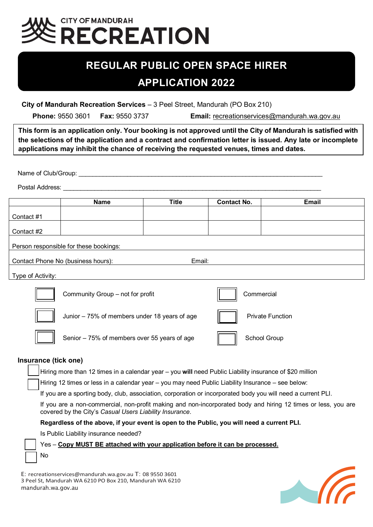## **CITY OF MANDURAH ECREATION**

### **REGULAR PUBLIC OPEN SPACE HIRER APPLICATION 2022**

 **City of Mandurah Recreation Services** – 3 Peel Street, Mandurah (PO Box 210)

**Phone:** 9550 3601 **Fax:** 9550 3737 **Email:** recreationservices@mandurah.wa.gov.au

**This form is an application only. Your booking is not approved until the City of Mandurah is satisfied with the selections of the application and a contract and confirmation letter is issued. Any late or incomplete applications may inhibit the chance of receiving the requested venues, times and dates.**

Name of Club/Group:

Postal Address:

|                                        | <b>Name</b>                        | <b>Title</b> | <b>Contact No.</b> | Email |  |  |  |  |  |  |  |
|----------------------------------------|------------------------------------|--------------|--------------------|-------|--|--|--|--|--|--|--|
|                                        |                                    |              |                    |       |  |  |  |  |  |  |  |
| Contact #1                             |                                    |              |                    |       |  |  |  |  |  |  |  |
|                                        |                                    |              |                    |       |  |  |  |  |  |  |  |
| Contact #2                             |                                    |              |                    |       |  |  |  |  |  |  |  |
|                                        |                                    |              |                    |       |  |  |  |  |  |  |  |
| Person responsible for these bookings: |                                    |              |                    |       |  |  |  |  |  |  |  |
|                                        |                                    |              |                    |       |  |  |  |  |  |  |  |
|                                        | Contact Phone No (business hours): | Email:       |                    |       |  |  |  |  |  |  |  |
|                                        |                                    |              |                    |       |  |  |  |  |  |  |  |
| Type of Activity:                      |                                    |              |                    |       |  |  |  |  |  |  |  |



#### **Insurance (tick one)**

Hiring more than 12 times in a calendar year – you **will** need Public Liability insurance of \$20 million Hiring 12 times or less in a calendar year – you may need Public Liability Insurance – see below: If you are a sporting body, club, association, corporation or incorporated body you will need a current PLI. If you are a non-commercial, non-profit making and non-incorporated body and hiring 12 times or less, you are covered by the City's *Casual Users Liability Insurance*. **Regardless of the above, if your event is open to the Public, you will need a current PLI.** Is Public Liability insurance needed? Yes – **Copy MUST BE attached with your application before it can be processed.** No

E: [recreationservices@mandurah.wa.gov.au](mailto:recreationservices@mandurah.wa.gov.au) T: 08 9550 3601 3 Peel St, Mandurah WA 6210 PO Box 210, Mandurah WA 6210 mandurah.wa.gov.au

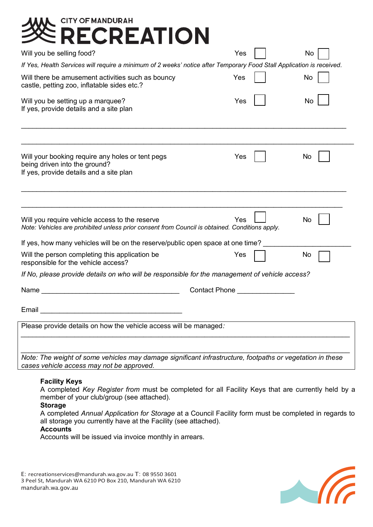| <b>CITY OF MANDURAH</b>                                                                                                                                |     |    |  |  |  |  |  |  |  |
|--------------------------------------------------------------------------------------------------------------------------------------------------------|-----|----|--|--|--|--|--|--|--|
| ECREATION                                                                                                                                              |     |    |  |  |  |  |  |  |  |
| Will you be selling food?                                                                                                                              | Yes | No |  |  |  |  |  |  |  |
| If Yes, Health Services will require a minimum of 2 weeks' notice after Temporary Food Stall Application is received.                                  |     |    |  |  |  |  |  |  |  |
| Will there be amusement activities such as bouncy<br>castle, petting zoo, inflatable sides etc.?                                                       | Yes | No |  |  |  |  |  |  |  |
| Will you be setting up a marquee?<br>If yes, provide details and a site plan                                                                           | Yes | No |  |  |  |  |  |  |  |
| Will your booking require any holes or tent pegs<br>being driven into the ground?                                                                      | Yes | No |  |  |  |  |  |  |  |
| If yes, provide details and a site plan                                                                                                                |     |    |  |  |  |  |  |  |  |
| Will you require vehicle access to the reserve<br>Note: Vehicles are prohibited unless prior consent from Council is obtained. Conditions apply.       | Yes | No |  |  |  |  |  |  |  |
| If yes, how many vehicles will be on the reserve/public open space at one time?                                                                        |     |    |  |  |  |  |  |  |  |
| Will the person completing this application be<br>responsible for the vehicle access?                                                                  | Yes | No |  |  |  |  |  |  |  |
| If No, please provide details on who will be responsible for the management of vehicle access?                                                         |     |    |  |  |  |  |  |  |  |
| <b>Contact Phone</b><br>Name                                                                                                                           |     |    |  |  |  |  |  |  |  |
| Email                                                                                                                                                  |     |    |  |  |  |  |  |  |  |
| Please provide details on how the vehicle access will be managed:                                                                                      |     |    |  |  |  |  |  |  |  |
|                                                                                                                                                        |     |    |  |  |  |  |  |  |  |
| Note: The weight of some vehicles may damage significant infrastructure, footpaths or vegetation in these<br>cases vehicle access may not be approved. |     |    |  |  |  |  |  |  |  |
|                                                                                                                                                        |     |    |  |  |  |  |  |  |  |

#### **Facility Keys**

A completed *Key Register from* must be completed for all Facility Keys that are currently held by a member of your club/group (see attached).

#### **Storage**

A completed *Annual Application for Storage* at a Council Facility form must be completed in regards to all storage you currently have at the Facility (see attached).

#### **Accounts**

Accounts will be issued via invoice monthly in arrears.